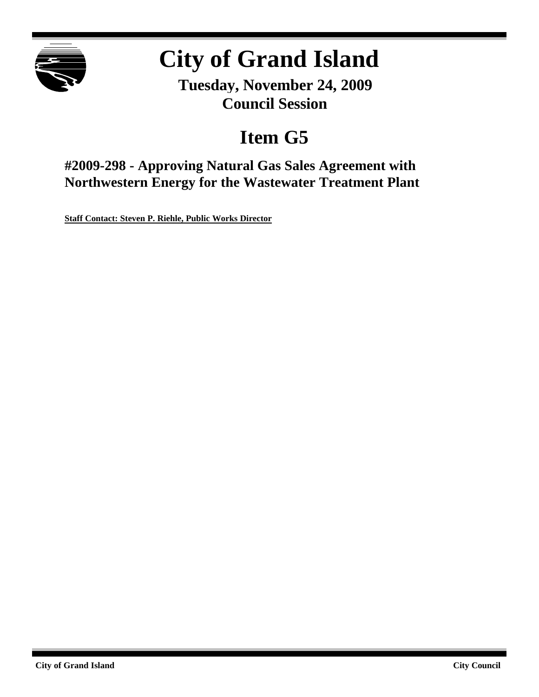

# **City of Grand Island**

**Tuesday, November 24, 2009 Council Session**

# **Item G5**

**#2009-298 - Approving Natural Gas Sales Agreement with Northwestern Energy for the Wastewater Treatment Plant**

**Staff Contact: Steven P. Riehle, Public Works Director**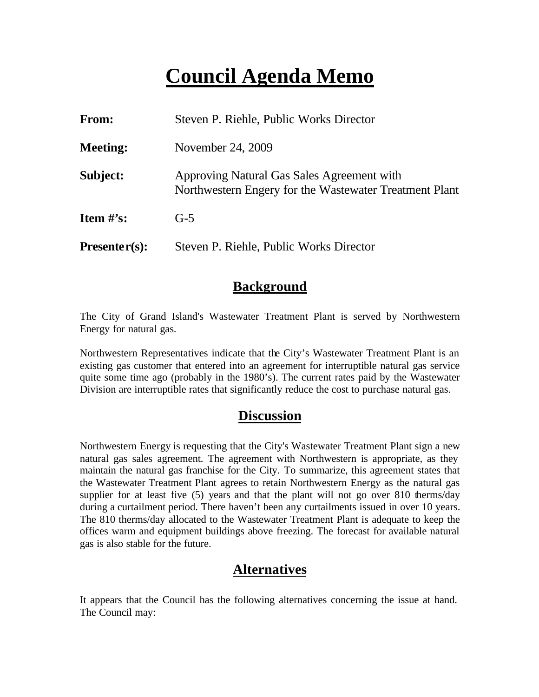# **Council Agenda Memo**

| From:           | Steven P. Riehle, Public Works Director                                                              |  |
|-----------------|------------------------------------------------------------------------------------------------------|--|
| <b>Meeting:</b> | November 24, 2009                                                                                    |  |
| Subject:        | Approving Natural Gas Sales Agreement with<br>Northwestern Engery for the Wastewater Treatment Plant |  |
| Item $\#$ 's:   | $G-5$                                                                                                |  |
| $Presenter(s):$ | Steven P. Riehle, Public Works Director                                                              |  |

### **Background**

The City of Grand Island's Wastewater Treatment Plant is served by Northwestern Energy for natural gas.

Northwestern Representatives indicate that the City's Wastewater Treatment Plant is an existing gas customer that entered into an agreement for interruptible natural gas service quite some time ago (probably in the 1980's). The current rates paid by the Wastewater Division are interruptible rates that significantly reduce the cost to purchase natural gas.

## **Discussion**

Northwestern Energy is requesting that the City's Wastewater Treatment Plant sign a new natural gas sales agreement. The agreement with Northwestern is appropriate, as they maintain the natural gas franchise for the City. To summarize, this agreement states that the Wastewater Treatment Plant agrees to retain Northwestern Energy as the natural gas supplier for at least five  $(5)$  years and that the plant will not go over 810 therms/day during a curtailment period. There haven't been any curtailments issued in over 10 years. The 810 therms/day allocated to the Wastewater Treatment Plant is adequate to keep the offices warm and equipment buildings above freezing. The forecast for available natural gas is also stable for the future.

# **Alternatives**

It appears that the Council has the following alternatives concerning the issue at hand. The Council may: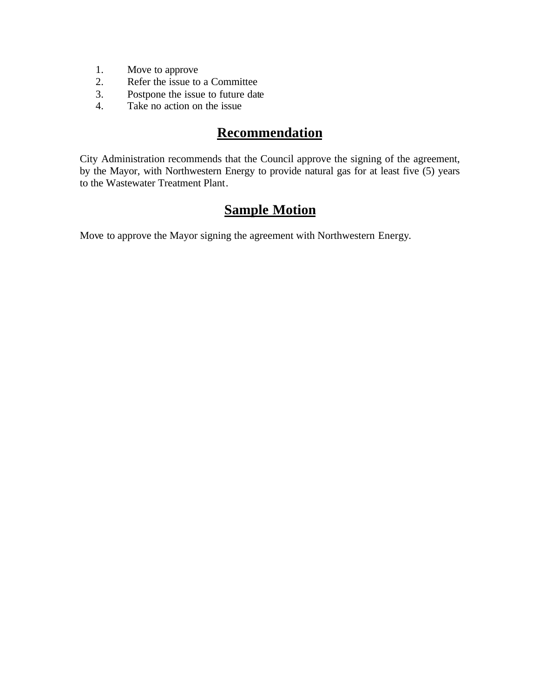- 1. Move to approve
- 2. Refer the issue to a Committee
- 3. Postpone the issue to future date
- 4. Take no action on the issue

# **Recommendation**

City Administration recommends that the Council approve the signing of the agreement, by the Mayor, with Northwestern Energy to provide natural gas for at least five (5) years to the Wastewater Treatment Plant.

# **Sample Motion**

Move to approve the Mayor signing the agreement with Northwestern Energy.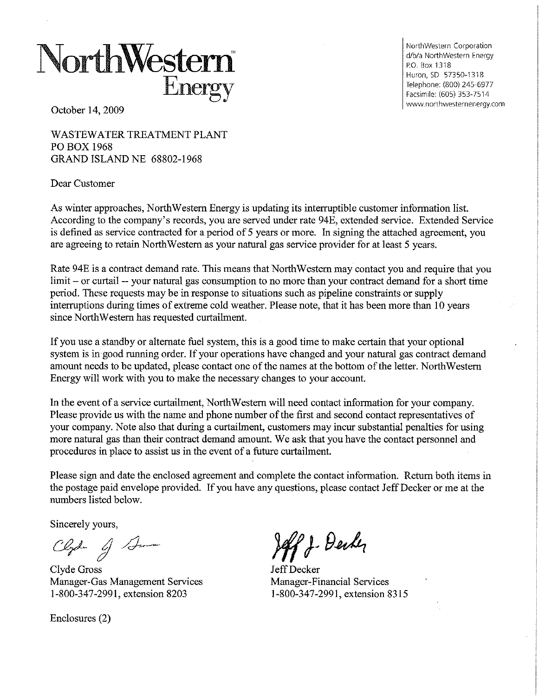# NorthWestern Energ

NorthWestern Corporation d/b/a NorthWestern Energy P.O. Box 1318 Huron, SD 57350-1318 Telephone: (800) 245-6977 Facsimile: (605) 353-7514 www.northwesternenergy.com

October 14, 2009

**WASTEWATER TREATMENT PLANT** PO BOX 1968 **GRAND ISLAND NE 68802-1968** 

Dear Customer

As winter approaches, NorthWestern Energy is updating its interruptible customer information list. According to the company's records, you are served under rate 94E, extended service. Extended Service is defined as service contracted for a period of 5 years or more. In signing the attached agreement, you are agreeing to retain NorthWestern as your natural gas service provider for at least 5 years.

Rate 94E is a contract demand rate. This means that NorthWestern may contact you and require that you limit – or curtail -- your natural gas consumption to no more than your contract demand for a short time period. These requests may be in response to situations such as pipeline constraints or supply interruptions during times of extreme cold weather. Please note, that it has been more than 10 years since NorthWestern has requested curtailment.

If you use a standby or alternate fuel system, this is a good time to make certain that your optional system is in good running order. If your operations have changed and your natural gas contract demand amount needs to be updated, please contact one of the names at the bottom of the letter. NorthWestern Energy will work with you to make the necessary changes to your account.

In the event of a service curtailment, NorthWestern will need contact information for your company. Please provide us with the name and phone number of the first and second contact representatives of your company. Note also that during a curtailment, customers may incur substantial penalties for using more natural gas than their contract demand amount. We ask that you have the contact personnel and procedures in place to assist us in the event of a future curtailment.

Please sign and date the enclosed agreement and complete the contact information. Return both items in the postage paid envelope provided. If you have any questions, please contact Jeff Decker or me at the numbers listed below.

Sincerely yours,

Clyd- of Aman

Clyde Gross Manager-Gas Management Services 1-800-347-2991, extension 8203

Enclosures (2)

off J. Derky

Jeff Decker Manager-Financial Services 1-800-347-2991, extension 8315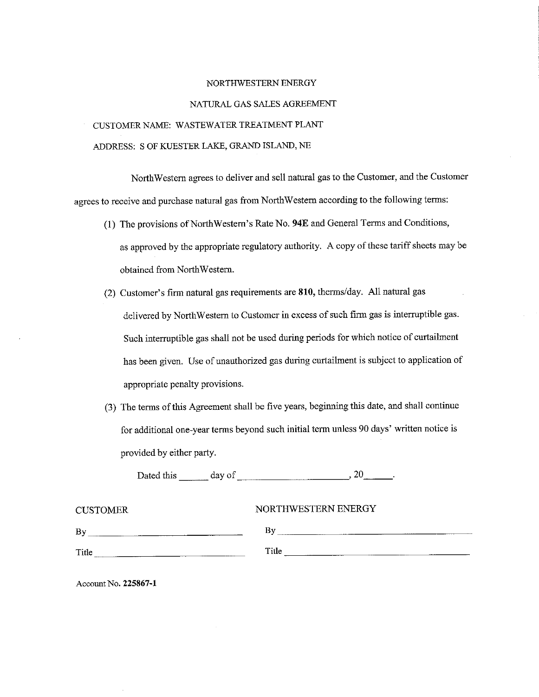#### NORTHWESTERN ENERGY

#### NATURAL GAS SALES AGREEMENT

## CUSTOMER NAME: WASTEWATER TREATMENT PLANT ADDRESS: S OF KUESTER LAKE, GRAND ISLAND, NE

NorthWestern agrees to deliver and sell natural gas to the Customer, and the Customer agrees to receive and purchase natural gas from NorthWestern according to the following terms:

- (1) The provisions of NorthWestern's Rate No. 94E and General Terms and Conditions, as approved by the appropriate regulatory authority. A copy of these tariff sheets may be obtained from NorthWestern.
- (2) Customer's firm natural gas requirements are 810, therms/day. All natural gas delivered by NorthWestern to Customer in excess of such firm gas is interruptible gas. Such interruptible gas shall not be used during periods for which notice of curtailment has been given. Use of unauthorized gas during curtailment is subject to application of appropriate penalty provisions.
- (3) The terms of this Agreement shall be five years, beginning this date, and shall continue for additional one-year terms beyond such initial term unless 90 days' written notice is provided by either party.

Dated this  $\_\_\_\_$  day of  $\_\_\_\_\_\_$  20  $\_\_\_\_\_$ 

| <b>CUSTOMER</b> | NORTHWESTERN ENERGY |
|-----------------|---------------------|
| By              | B٧                  |
| Title           | Title               |

Account No. 225867-1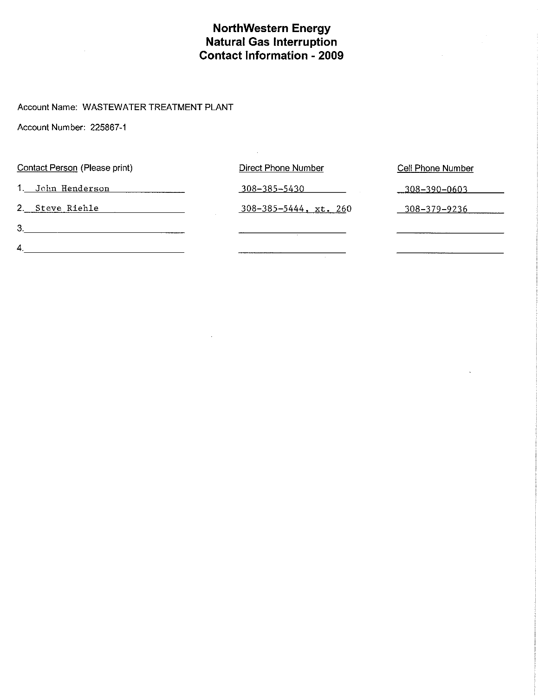# **NorthWestern Energy<br>Natural Gas Interruption<br>Contact Information - 2009**

#### Account Name: WASTEWATER TREATMENT PLANT

Account Number: 225867-1

| Contact Person (Please print) | <b>Direct Phone Number</b>   | <b>Cell Phone Number</b> |
|-------------------------------|------------------------------|--------------------------|
| 1. John Henderson             | 308-385-5430                 | $-308 - 390 - 0603$      |
| 2. Steve Riehle               | $308 - 385 - 5444$ , xt. 260 | 308-379-9236             |
| 3.                            |                              |                          |
| 4.                            |                              |                          |